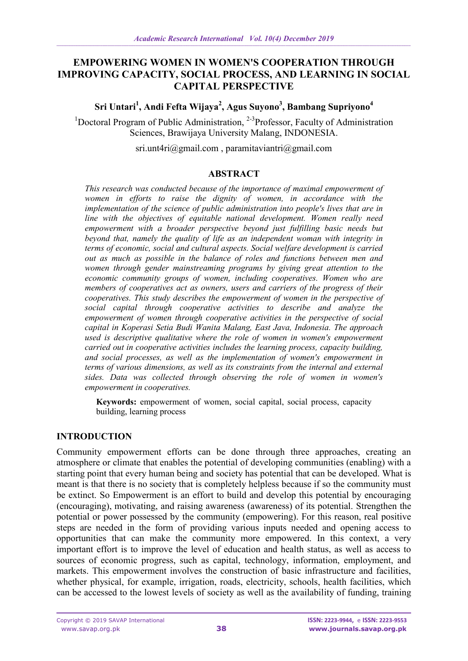# **EMPOWERING WOMEN IN WOMEN'S COOPERATION THROUGH IMPROVING CAPACITY, SOCIAL PROCESS, AND LEARNING IN SOCIAL CAPITAL PERSPECTIVE**

**Sri Untari<sup>1</sup> , Andi Fefta Wijaya 2 , Agus Suyono<sup>3</sup> , Bambang Supriyono<sup>4</sup>**

<sup>1</sup>Doctoral Program of Public Administration, <sup>2-3</sup>Professor, Faculty of Administration Sciences, Brawijaya University Malang, INDONESIA.

[sri.unt4ri@gmail.com](mailto:sri.unt4ri@gmail.com) , [paramitaviantri@gmail.com](mailto:paramitaviantri@gmail.com)

### **ABSTRACT**

*This research was conducted because of the importance of maximal empowerment of women in efforts to raise the dignity of women, in accordance with the implementation of the science of public administration into people's lives that are in line with the objectives of equitable national development. Women really need empowerment with a broader perspective beyond just fulfilling basic needs but beyond that, namely the quality of life as an independent woman with integrity in terms of economic, social and cultural aspects. Social welfare development is carried out as much as possible in the balance of roles and functions between men and women through gender mainstreaming programs by giving great attention to the economic community groups of women, including cooperatives. Women who are members of cooperatives act as owners, users and carriers of the progress of their cooperatives. This study describes the empowerment of women in the perspective of social capital through cooperative activities to describe and analyze the empowerment of women through cooperative activities in the perspective of social capital in Koperasi Setia Budi Wanita Malang, East Java, Indonesia. The approach used is descriptive qualitative where the role of women in women's empowerment carried out in cooperative activities includes the learning process, capacity building, and social processes, as well as the implementation of women's empowerment in terms of various dimensions, as well as its constraints from the internal and external sides. Data was collected through observing the role of women in women's empowerment in cooperatives.*

**Keywords:** empowerment of women, social capital, social process, capacity building, learning process

# **INTRODUCTION**

Community empowerment efforts can be done through three approaches, creating an atmosphere or climate that enables the potential of developing communities (enabling) with a starting point that every human being and society has potential that can be developed. What is meant is that there is no society that is completely helpless because if so the community must be extinct. So Empowerment is an effort to build and develop this potential by encouraging (encouraging), motivating, and raising awareness (awareness) of its potential. Strengthen the potential or power possessed by the community (empowering). For this reason, real positive steps are needed in the form of providing various inputs needed and opening access to opportunities that can make the community more empowered. In this context, a very important effort is to improve the level of education and health status, as well as access to sources of economic progress, such as capital, technology, information, employment, and markets. This empowerment involves the construction of basic infrastructure and facilities, whether physical, for example, irrigation, roads, electricity, schools, health facilities, which can be accessed to the lowest levels of society as well as the availability of funding, training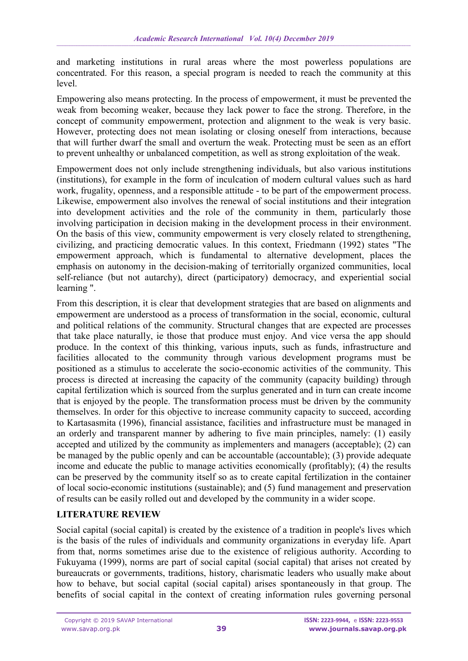and marketing institutions in rural areas where the most powerless populations are concentrated. For this reason, a special program is needed to reach the community at this level.

Empowering also means protecting. In the process of empowerment, it must be prevented the weak from becoming weaker, because they lack power to face the strong. Therefore, in the concept of community empowerment, protection and alignment to the weak is very basic. However, protecting does not mean isolating or closing oneself from interactions, because that will further dwarf the small and overturn the weak. Protecting must be seen as an effort to prevent unhealthy or unbalanced competition, as well as strong exploitation of the weak.

Empowerment does not only include strengthening individuals, but also various institutions (institutions), for example in the form of inculcation of modern cultural values such as hard work, frugality, openness, and a responsible attitude - to be part of the empowerment process. Likewise, empowerment also involves the renewal of social institutions and their integration into development activities and the role of the community in them, particularly those involving participation in decision making in the development process in their environment. On the basis of this view, community empowerment is very closely related to strengthening, civilizing, and practicing democratic values. In this context, Friedmann (1992) states "The empowerment approach, which is fundamental to alternative development, places the emphasis on autonomy in the decision-making of territorially organized communities, local self-reliance (but not autarchy), direct (participatory) democracy, and experiential social learning ".

From this description, it is clear that development strategies that are based on alignments and empowerment are understood as a process of transformation in the social, economic, cultural and political relations of the community. Structural changes that are expected are processes that take place naturally, ie those that produce must enjoy. And vice versa the app should produce. In the context of this thinking, various inputs, such as funds, infrastructure and facilities allocated to the community through various development programs must be positioned as a stimulus to accelerate the socio-economic activities of the community. This process is directed at increasing the capacity of the community (capacity building) through capital fertilization which is sourced from the surplus generated and in turn can create income that is enjoyed by the people. The transformation process must be driven by the community themselves. In order for this objective to increase community capacity to succeed, according to Kartasasmita (1996), financial assistance, facilities and infrastructure must be managed in an orderly and transparent manner by adhering to five main principles, namely: (1) easily accepted and utilized by the community as implementers and managers (acceptable); (2) can be managed by the public openly and can be accountable (accountable); (3) provide adequate income and educate the public to manage activities economically (profitably); (4) the results can be preserved by the community itself so as to create capital fertilization in the container of local socio-economic institutions (sustainable); and (5) fund management and preservation of results can be easily rolled out and developed by the community in a wider scope.

### **LITERATURE REVIEW**

Social capital (social capital) is created by the existence of a tradition in people's lives which is the basis of the rules of individuals and community organizations in everyday life. Apart from that, norms sometimes arise due to the existence of religious authority. According to Fukuyama (1999), norms are part of social capital (social capital) that arises not created by bureaucrats or governments, traditions, history, charismatic leaders who usually make about how to behave, but social capital (social capital) arises spontaneously in that group. The benefits of social capital in the context of creating information rules governing personal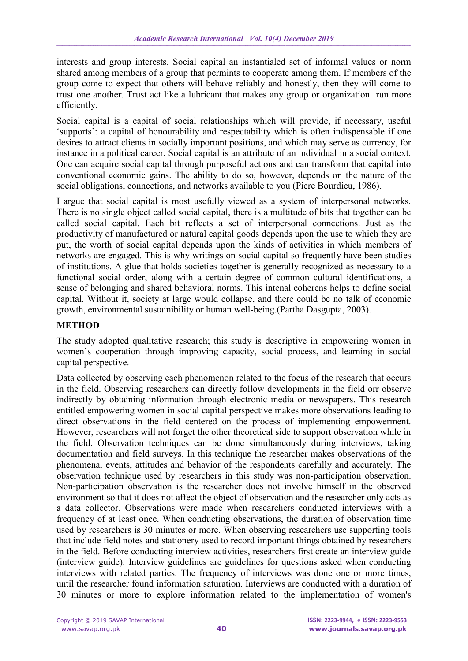interests and group interests. Social capital an instantialed set of informal values or norm shared among members of a group that permints to cooperate among them. If members of the group come to expect that others will behave reliably and honestly, then they will come to trust one another. Trust act like a lubricant that makes any group or organization run more efficiently.

Social capital is a capital of social relationships which will provide, if necessary, useful 'supports': a capital of honourability and respectability which is often indispensable if one desires to attract clients in socially important positions, and which may serve as currency, for instance in a political career. Social capital is an attribute of an individual in a social context. One can acquire social capital through purposeful actions and can transform that capital into conventional economic gains. The ability to do so, however, depends on the nature of the social obligations, connections, and networks available to you (Piere Bourdieu, 1986).

I argue that social capital is most usefully viewed as a system of interpersonal networks. There is no single object called social capital, there is a multitude of bits that together can be called social capital. Each bit reflects a set of interpersonal connections. Just as the productivity of manufactured or natural capital goods depends upon the use to which they are put, the worth of social capital depends upon the kinds of activities in which members of networks are engaged. This is why writings on social capital so frequently have been studies of institutions. A glue that holds societies together is generally recognized as necessary to a functional social order, along with a certain degree of common cultural identifications, a sense of belonging and shared behavioral norms. This intenal coherens helps to define social capital. Without it, society at large would collapse, and there could be no talk of economic growth, environmental sustainibility or human well-being.(Partha Dasgupta, 2003).

## **METHOD**

The study adopted qualitative research; this study is descriptive in empowering women in women's cooperation through improving capacity, social process, and learning in social capital perspective.

Data collected by observing each phenomenon related to the focus of the research that occurs in the field. Observing researchers can directly follow developments in the field orr observe indirectly by obtaining information through electronic media or newspapers. This research entitled empowering women in social capital perspective makes more observations leading to direct observations in the field centered on the process of implementing empowerment. However, researchers will not forget the other theoretical side to support observation while in the field. Observation techniques can be done simultaneously during interviews, taking documentation and field surveys. In this technique the researcher makes observations of the phenomena, events, attitudes and behavior of the respondents carefully and accurately. The observation technique used by researchers in this study was non-participation observation. Non-participation observation is the researcher does not involve himself in the observed environment so that it does not affect the object of observation and the researcher only acts as a data collector. Observations were made when researchers conducted interviews with a frequency of at least once. When conducting observations, the duration of observation time used by researchers is 30 minutes or more. When observing researchers use supporting tools that include field notes and stationery used to record important things obtained by researchers in the field. Before conducting interview activities, researchers first create an interview guide (interview guide). Interview guidelines are guidelines for questions asked when conducting interviews with related parties. The frequency of interviews was done one or more times, until the researcher found information saturation. Interviews are conducted with a duration of 30 minutes or more to explore information related to the implementation of women's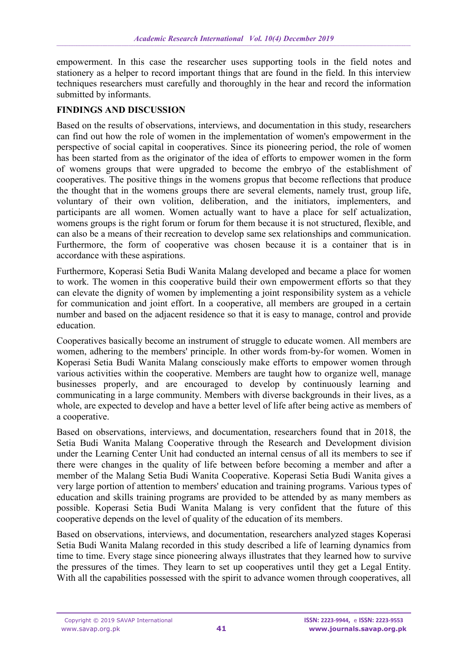empowerment. In this case the researcher uses supporting tools in the field notes and stationery as a helper to record important things that are found in the field. In this interview techniques researchers must carefully and thoroughly in the hear and record the information submitted by informants.

## **FINDINGS AND DISCUSSION**

Based on the results of observations, interviews, and documentation in this study, researchers can find out how the role of women in the implementation of women's empowerment in the perspective of social capital in cooperatives. Since its pioneering period, the role of women has been started from as the originator of the idea of efforts to empower women in the form of womens groups that were upgraded to become the embryo of the establishment of cooperatives. The positive things in the womens gropus that become reflections that produce the thought that in the womens groups there are several elements, namely trust, group life, voluntary of their own volition, deliberation, and the initiators, implementers, and participants are all women. Women actually want to have a place for self actualization, womens groups is the right forum or forum for them because it is not structured, flexible, and can also be a means of their recreation to develop same sex relationships and communication. Furthermore, the form of cooperative was chosen because it is a container that is in accordance with these aspirations.

Furthermore, Koperasi Setia Budi Wanita Malang developed and became a place for women to work. The women in this cooperative build their own empowerment efforts so that they can elevate the dignity of women by implementing a joint responsibility system as a vehicle for communication and joint effort. In a cooperative, all members are grouped in a certain number and based on the adjacent residence so that it is easy to manage, control and provide education.

Cooperatives basically become an instrument of struggle to educate women. All members are women, adhering to the members' principle. In other words from-by-for women. Women in Koperasi Setia Budi Wanita Malang consciously make efforts to empower women through various activities within the cooperative. Members are taught how to organize well, manage businesses properly, and are encouraged to develop by continuously learning and communicating in a large community. Members with diverse backgrounds in their lives, as a whole, are expected to develop and have a better level of life after being active as members of a cooperative.

Based on observations, interviews, and documentation, researchers found that in 2018, the Setia Budi Wanita Malang Cooperative through the Research and Development division under the Learning Center Unit had conducted an internal census of all its members to see if there were changes in the quality of life between before becoming a member and after a member of the Malang Setia Budi Wanita Cooperative. Koperasi Setia Budi Wanita gives a very large portion of attention to members' education and training programs. Various types of education and skills training programs are provided to be attended by as many members as possible. Koperasi Setia Budi Wanita Malang is very confident that the future of this cooperative depends on the level of quality of the education of its members.

Based on observations, interviews, and documentation, researchers analyzed stages Koperasi Setia Budi Wanita Malang recorded in this study described a life of learning dynamics from time to time. Every stage since pioneering always illustrates that they learned how to survive the pressures of the times. They learn to set up cooperatives until they get a Legal Entity. With all the capabilities possessed with the spirit to advance women through cooperatives, all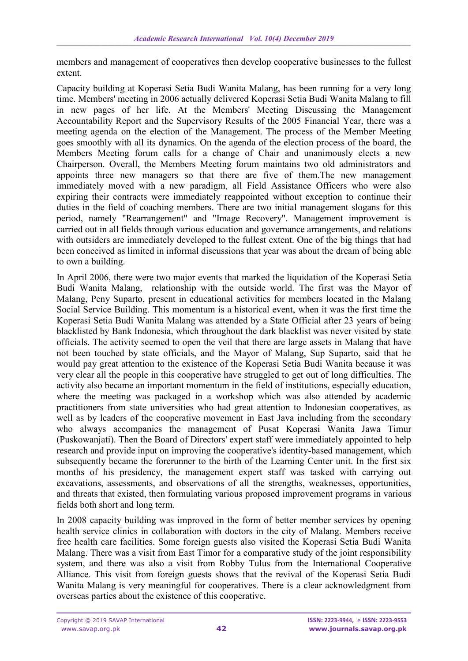members and management of cooperatives then develop cooperative businesses to the fullest extent.

Capacity building at Koperasi Setia Budi Wanita Malang, has been running for a very long time. Members' meeting in 2006 actually delivered Koperasi Setia Budi Wanita Malang to fill in new pages of her life. At the Members' Meeting Discussing the Management Accountability Report and the Supervisory Results of the 2005 Financial Year, there was a meeting agenda on the election of the Management. The process of the Member Meeting goes smoothly with all its dynamics. On the agenda of the election process of the board, the Members Meeting forum calls for a change of Chair and unanimously elects a new Chairperson. Overall, the Members Meeting forum maintains two old administrators and appoints three new managers so that there are five of them.The new management immediately moved with a new paradigm, all Field Assistance Officers who were also expiring their contracts were immediately reappointed without exception to continue their duties in the field of coaching members. There are two initial management slogans for this period, namely "Rearrangement" and "Image Recovery". Management improvement is carried out in all fields through various education and governance arrangements, and relations with outsiders are immediately developed to the fullest extent. One of the big things that had been conceived as limited in informal discussions that year was about the dream of being able to own a building.

In April 2006, there were two major events that marked the liquidation of the Koperasi Setia Budi Wanita Malang, relationship with the outside world. The first was the Mayor of Malang, Peny Suparto, present in educational activities for members located in the Malang Social Service Building. This momentum is a historical event, when it was the first time the Koperasi Setia Budi Wanita Malang was attended by a State Official after 23 years of being blacklisted by Bank Indonesia, which throughout the dark blacklist was never visited by state officials. The activity seemed to open the veil that there are large assets in Malang that have not been touched by state officials, and the Mayor of Malang, Sup Suparto, said that he would pay great attention to the existence of the Koperasi Setia Budi Wanita because it was very clear all the people in this cooperative have struggled to get out of long difficulties. The activity also became an important momentum in the field of institutions, especially education, where the meeting was packaged in a workshop which was also attended by academic practitioners from state universities who had great attention to Indonesian cooperatives, as well as by leaders of the cooperative movement in East Java including from the secondary who always accompanies the management of Pusat Koperasi Wanita Jawa Timur (Puskowanjati). Then the Board of Directors' expert staff were immediately appointed to help research and provide input on improving the cooperative's identity-based management, which subsequently became the forerunner to the birth of the Learning Center unit. In the first six months of his presidency, the management expert staff was tasked with carrying out excavations, assessments, and observations of all the strengths, weaknesses, opportunities, and threats that existed, then formulating various proposed improvement programs in various fields both short and long term.

In 2008 capacity building was improved in the form of better member services by opening health service clinics in collaboration with doctors in the city of Malang. Members receive free health care facilities. Some foreign guests also visited the Koperasi Setia Budi Wanita Malang. There was a visit from East Timor for a comparative study of the joint responsibility system, and there was also a visit from Robby Tulus from the International Cooperative Alliance. This visit from foreign guests shows that the revival of the Koperasi Setia Budi Wanita Malang is very meaningful for cooperatives. There is a clear acknowledgment from overseas parties about the existence of this cooperative.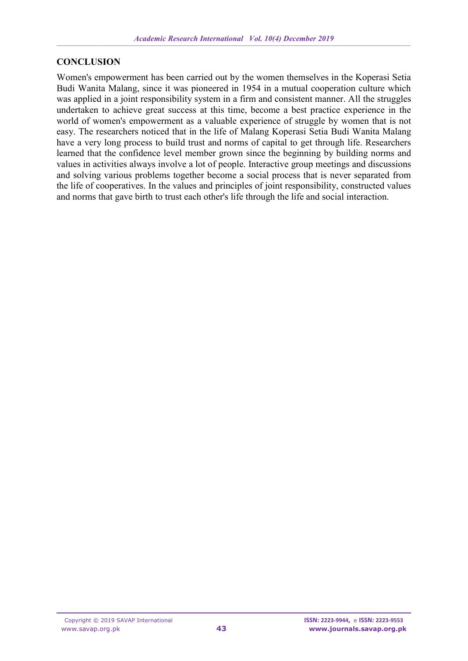### **CONCLUSION**

Women's empowerment has been carried out by the women themselves in the Koperasi Setia Budi Wanita Malang, since it was pioneered in 1954 in a mutual cooperation culture which was applied in a joint responsibility system in a firm and consistent manner. All the struggles undertaken to achieve great success at this time, become a best practice experience in the world of women's empowerment as a valuable experience of struggle by women that is not easy. The researchers noticed that in the life of Malang Koperasi Setia Budi Wanita Malang have a very long process to build trust and norms of capital to get through life. Researchers learned that the confidence level member grown since the beginning by building norms and values in activities always involve a lot of people. Interactive group meetings and discussions and solving various problems together become a social process that is never separated from the life of cooperatives. In the values and principles of joint responsibility, constructed values and norms that gave birth to trust each other's life through the life and social interaction.